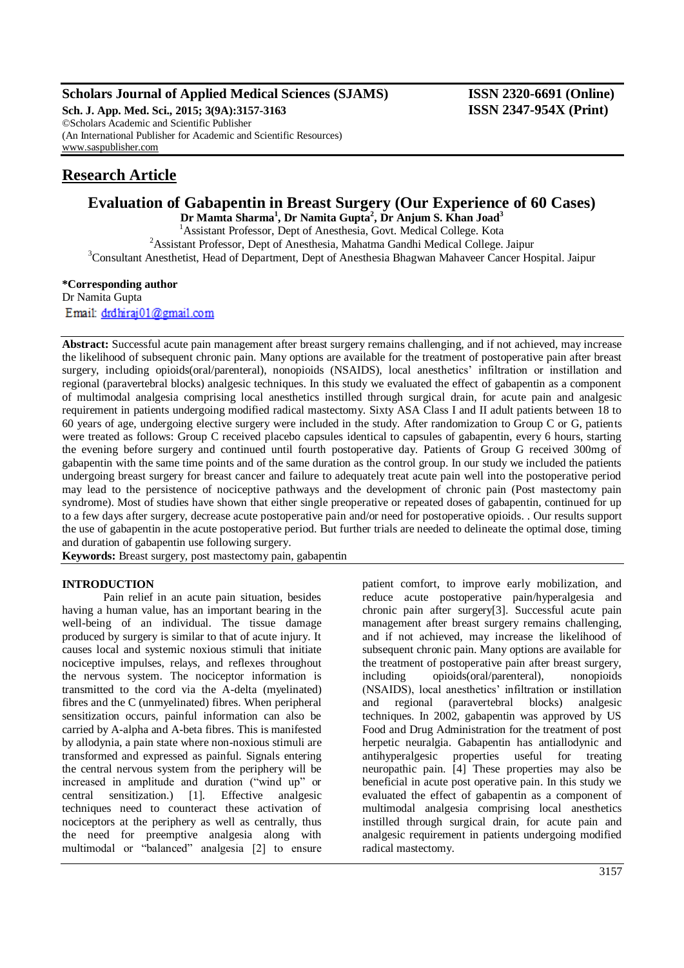# **Scholars Journal of Applied Medical Sciences (SJAMS) ISSN 2320-6691 (Online)**

**Sch. J. App. Med. Sci., 2015; 3(9A):3157-3163 ISSN 2347-954X (Print)** ©Scholars Academic and Scientific Publisher (An International Publisher for Academic and Scientific Resources) [www.saspublisher.com](http://www.saspublisher.com/)

# **Research Article**

# **Evaluation of Gabapentin in Breast Surgery (Our Experience of 60 Cases)**

**Dr Mamta Sharma<sup>1</sup> , Dr Namita Gupta<sup>2</sup> , Dr Anjum S. Khan Joad<sup>3</sup>** <sup>1</sup> Assistant Professor, Dept of Anesthesia, Govt. Medical College. Kota <sup>2</sup>Assistant Professor, Dept of Anesthesia, Mahatma Gandhi Medical College. Jaipur <sup>3</sup>Consultant Anesthetist, Head of Department, Dept of Anesthesia Bhagwan Mahaveer Cancer Hospital. Jaipur

# **\*Corresponding author**

Dr Namita Gupta Email: drdhiraj01@gmail.com

**Abstract:** Successful acute pain management after breast surgery remains challenging, and if not achieved, may increase the likelihood of subsequent chronic pain. Many options are available for the treatment of postoperative pain after breast surgery, including opioids(oral/parenteral), nonopioids (NSAIDS), local anesthetics' infiltration or instillation and regional (paravertebral blocks) analgesic techniques. In this study we evaluated the effect of gabapentin as a component of multimodal analgesia comprising local anesthetics instilled through surgical drain, for acute pain and analgesic requirement in patients undergoing modified radical mastectomy. Sixty ASA Class I and II adult patients between 18 to 60 years of age, undergoing elective surgery were included in the study. After randomization to Group C or G, patients were treated as follows: Group C received placebo capsules identical to capsules of gabapentin, every 6 hours, starting the evening before surgery and continued until fourth postoperative day. Patients of Group G received 300mg of gabapentin with the same time points and of the same duration as the control group. In our study we included the patients undergoing breast surgery for breast cancer and failure to adequately treat acute pain well into the postoperative period may lead to the persistence of nociceptive pathways and the development of chronic pain (Post mastectomy pain syndrome). Most of studies have shown that either single preoperative or repeated doses of gabapentin, continued for up to a few days after surgery, decrease acute postoperative pain and/or need for postoperative opioids. . Our results support the use of gabapentin in the acute postoperative period. But further trials are needed to delineate the optimal dose, timing and duration of gabapentin use following surgery.

**Keywords:** Breast surgery, post mastectomy pain, gabapentin

# **INTRODUCTION**

Pain relief in an acute pain situation, besides having a human value, has an important bearing in the well-being of an individual. The tissue damage produced by surgery is similar to that of acute injury. It causes local and systemic noxious stimuli that initiate nociceptive impulses, relays, and reflexes throughout the nervous system. The nociceptor information is transmitted to the cord via the A-delta (myelinated) fibres and the C (unmyelinated) fibres. When peripheral sensitization occurs, painful information can also be carried by A-alpha and A-beta fibres. This is manifested by allodynia, a pain state where non-noxious stimuli are transformed and expressed as painful. Signals entering the central nervous system from the periphery will be increased in amplitude and duration ("wind up" or central sensitization.) [1]. Effective analgesic techniques need to counteract these activation of nociceptors at the periphery as well as centrally, thus the need for preemptive analgesia along with multimodal or "balanced" analgesia [2] to ensure

patient comfort, to improve early mobilization, and reduce acute postoperative pain/hyperalgesia and chronic pain after surgery[3]. Successful acute pain management after breast surgery remains challenging, and if not achieved, may increase the likelihood of subsequent chronic pain. Many options are available for the treatment of postoperative pain after breast surgery, including opioids(oral/parenteral), nonopioids (NSAIDS), local anesthetics' infiltration or instillation and regional (paravertebral blocks) analgesic techniques. In 2002, gabapentin was approved by US Food and Drug Administration for the treatment of post herpetic neuralgia. Gabapentin has antiallodynic and antihyperalgesic properties useful for treating neuropathic pain. [4] These properties may also be beneficial in acute post operative pain. In this study we evaluated the effect of gabapentin as a component of multimodal analgesia comprising local anesthetics instilled through surgical drain, for acute pain and analgesic requirement in patients undergoing modified radical mastectomy.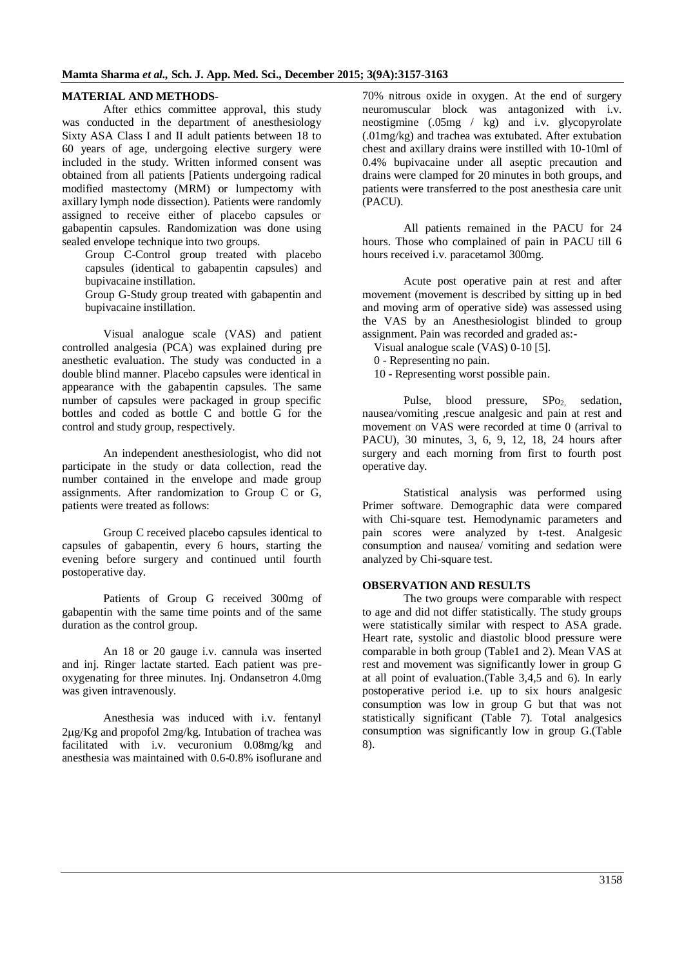#### **MATERIAL AND METHODS-**

After ethics committee approval, this study was conducted in the department of anesthesiology Sixty ASA Class I and II adult patients between 18 to 60 years of age, undergoing elective surgery were included in the study. Written informed consent was obtained from all patients [Patients undergoing radical modified mastectomy (MRM) or lumpectomy with axillary lymph node dissection). Patients were randomly assigned to receive either of placebo capsules or gabapentin capsules. Randomization was done using sealed envelope technique into two groups.

Group C-Control group treated with placebo capsules (identical to gabapentin capsules) and bupivacaine instillation.

Group G-Study group treated with gabapentin and bupivacaine instillation.

Visual analogue scale (VAS) and patient controlled analgesia (PCA) was explained during pre anesthetic evaluation. The study was conducted in a double blind manner. Placebo capsules were identical in appearance with the gabapentin capsules. The same number of capsules were packaged in group specific bottles and coded as bottle C and bottle G for the control and study group, respectively.

An independent anesthesiologist, who did not participate in the study or data collection, read the number contained in the envelope and made group assignments. After randomization to Group C or G, patients were treated as follows:

Group C received placebo capsules identical to capsules of gabapentin, every 6 hours, starting the evening before surgery and continued until fourth postoperative day.

Patients of Group G received 300mg of gabapentin with the same time points and of the same duration as the control group.

An 18 or 20 gauge i.v. cannula was inserted and inj. Ringer lactate started. Each patient was preoxygenating for three minutes. Inj. Ondansetron 4.0mg was given intravenously.

Anesthesia was induced with i.v. fentanyl 2g/Kg and propofol 2mg/kg. Intubation of trachea was facilitated with i.v. vecuronium 0.08mg/kg and anesthesia was maintained with 0.6-0.8% isoflurane and 70% nitrous oxide in oxygen. At the end of surgery neuromuscular block was antagonized with i.v. neostigmine (.05mg / kg) and i.v. glycopyrolate (.01mg/kg) and trachea was extubated. After extubation chest and axillary drains were instilled with 10-10ml of 0.4% bupivacaine under all aseptic precaution and drains were clamped for 20 minutes in both groups, and patients were transferred to the post anesthesia care unit (PACU).

All patients remained in the PACU for 24 hours. Those who complained of pain in PACU till 6 hours received i.v. paracetamol 300mg.

Acute post operative pain at rest and after movement (movement is described by sitting up in bed and moving arm of operative side) was assessed using the VAS by an Anesthesiologist blinded to group assignment. Pain was recorded and graded as:-

Visual analogue scale (VAS) 0-10 [5].

0 - Representing no pain.

10 - Representing worst possible pain.

Pulse, blood pressure, SPo<sub>2,</sub> sedation, nausea/vomiting ,rescue analgesic and pain at rest and movement on VAS were recorded at time 0 (arrival to PACU), 30 minutes, 3, 6, 9, 12, 18, 24 hours after surgery and each morning from first to fourth post operative day.

Statistical analysis was performed using Primer software. Demographic data were compared with Chi-square test. Hemodynamic parameters and pain scores were analyzed by t-test. Analgesic consumption and nausea/ vomiting and sedation were analyzed by Chi-square test.

#### **OBSERVATION AND RESULTS**

The two groups were comparable with respect to age and did not differ statistically. The study groups were statistically similar with respect to ASA grade. Heart rate, systolic and diastolic blood pressure were comparable in both group (Table1 and 2). Mean VAS at rest and movement was significantly lower in group G at all point of evaluation.(Table 3,4,5 and 6). In early postoperative period i.e. up to six hours analgesic consumption was low in group G but that was not statistically significant (Table 7). Total analgesics consumption was significantly low in group G.(Table 8).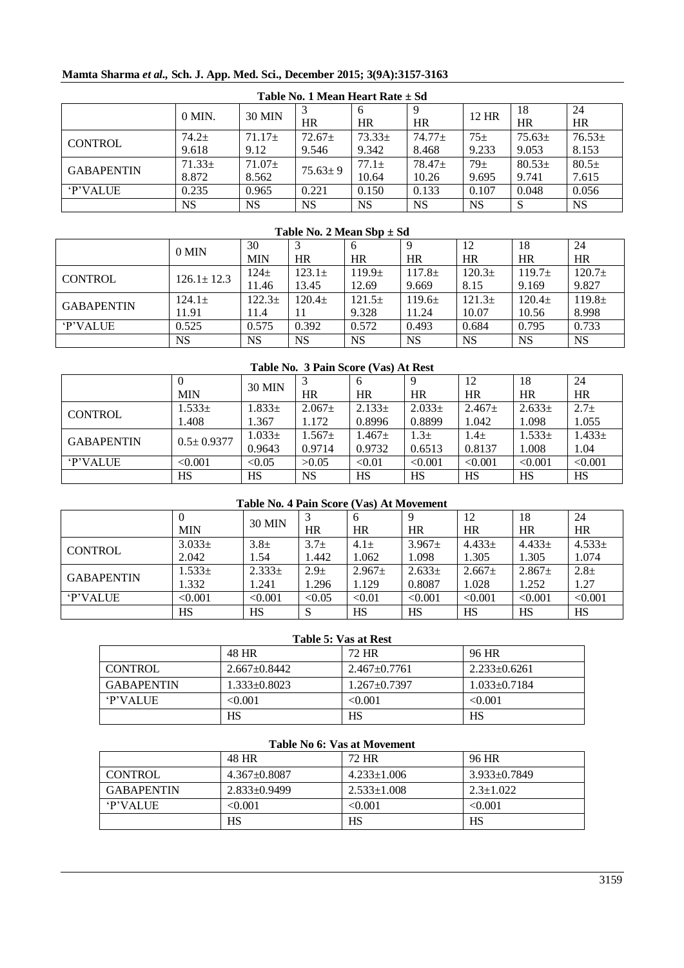# **Mamta Sharma** *et al.,* **Sch. J. App. Med. Sci., December 2015; 3(9A):3157-3163**

| Table No. 1 Mean Heart Rate $\pm$ Sd |             |             |               |            |          |           |            |             |
|--------------------------------------|-------------|-------------|---------------|------------|----------|-----------|------------|-------------|
|                                      | $0$ MIN.    | 30 MIN      |               | 6          |          | 12 HR     | 18         | 24          |
|                                      |             |             | HR            | HR         | HR       |           | HR         | <b>HR</b>   |
| <b>CONTROL</b>                       | $74.2+$     | $71.17+$    | $72.67 \pm$   | $73.33\pm$ | $74.77+$ | $75\pm$   | $75.63\pm$ | $76.53 \pm$ |
|                                      | 9.618       | 9.12        | 9.546         | 9.342      | 8.468    | 9.233     | 9.053      | 8.153       |
| <b>GABAPENTIN</b>                    | $71.33 \pm$ | $71.07 \pm$ | $75.63 \pm 9$ | $77.1+$    | $78.47+$ | $79+$     | $80.53\pm$ | $80.5+$     |
|                                      | 8.872       | 8.562       |               | 10.64      | 10.26    | 9.695     | 9.741      | 7.615       |
| <b>P'VALUE</b>                       | 0.235       | 0.965       | 0.221         | 0.150      | 0.133    | 0.107     | 0.048      | 0.056       |
|                                      | <b>NS</b>   | NS.         | <b>NS</b>     | <b>NS</b>  | NS       | <b>NS</b> | S          | <b>NS</b>   |

#### **Table No. 2 Mean Sbp ± Sd**

|                   |                  | 30         |             | b                  |             | 12                 | 18                 | 24                 |
|-------------------|------------------|------------|-------------|--------------------|-------------|--------------------|--------------------|--------------------|
|                   | 0 MIN            | <b>MIN</b> | HR          | HR                 | HR          | HR                 | HR                 | HR                 |
| <b>CONTROL</b>    | $126.1 \pm 12.3$ | $124\pm$   | $123.1\pm$  | 119.9 <sub>±</sub> | $117.8 \pm$ | 120.3 <sub>±</sub> | 119.7 <sub>±</sub> | $120.7\pm$         |
|                   |                  | 11.46      | 13.45       | 12.69              | 9.669       | 8.15               | 9.169              | 9.827              |
| <b>GABAPENTIN</b> | $124.1 \pm$      | $122.3\pm$ | $120.4 \pm$ | $121.5\pm$         | $119.6\pm$  | 121.3 <sub>±</sub> | $120.4+$           | 119.8 <sub>±</sub> |
|                   | 11.91            | 11.4       |             | 9.328              | 11.24       | 10.07              | 10.56              | 8.998              |
| <b>P'VALUE</b>    | 0.525            | 0.575      | 0.392       | 0.572              | 0.493       | 0.684              | 0.795              | 0.733              |
|                   | NS               | NS         | <b>NS</b>   | NS                 | <b>NS</b>   | <b>NS</b>          | <b>NS</b>          | <b>NS</b>          |

| Table No. 3 Pain Score (Vas) At Rest |                  |               |             |             |            |             |            |             |
|--------------------------------------|------------------|---------------|-------------|-------------|------------|-------------|------------|-------------|
|                                      |                  |               |             | 6           |            | 12          | 18         | 24          |
|                                      | <b>MIN</b>       | <b>30 MIN</b> | <b>HR</b>   | HR          | <b>HR</b>  | <b>HR</b>   | HR         | HR          |
|                                      | $1.533\pm$       | $1.833 \pm$   | $2.067 \pm$ | $2.133\pm$  | $2.033\pm$ | $2.467 \pm$ | $2.633\pm$ | $2.7 +$     |
| <b>CONTROL</b>                       | 1.408            | 1.367         | 1.172       | 0.8996      | 0.8899     | 1.042       | 1.098      | 1.055       |
| <b>GABAPENTIN</b>                    | $0.5 \pm 0.9377$ | $1.033 \pm$   | $1.567+$    | $1.467 \pm$ | $1.3\pm$   | $1.4\pm$    | $1.533\pm$ | $1.433 \pm$ |
|                                      |                  | 0.9643        | 0.9714      | 0.9732      | 0.6513     | 0.8137      | 1.008      | 1.04        |
| <b>P'VALUE</b>                       | < 0.001          | < 0.05        | >0.05       | < 0.01      | < 0.001    | < 0.001     | < 0.001    | < 0.001     |
|                                      | HS               | HS            | <b>NS</b>   | HS          | HS         | <b>HS</b>   | <b>HS</b>  | HS          |

# **Table No. 4 Pain Score (Vas) At Movement**

|                   |            | 30 MIN     |         | <sub>0</sub> |             | 12          | 18          | 24         |
|-------------------|------------|------------|---------|--------------|-------------|-------------|-------------|------------|
|                   | <b>MIN</b> |            | HR      | HR           | HR          | HR          | HR          | HR         |
| <b>CONTROL</b>    | $3.033\pm$ | $3.8\pm$   | $3.7 +$ | $4.1\pm$     | $3.967 \pm$ | $4.433\pm$  | $4.433\pm$  | $4.533\pm$ |
|                   | 2.042      | 1.54       | 1.442   | 1.062        | .098        | 1.305       | 1.305       | 1.074      |
| <b>GABAPENTIN</b> | $1.533\pm$ | $2.333\pm$ | $2.9 +$ | $2.967 \pm$  | $2.633\pm$  | $2.667 \pm$ | $2.867 \pm$ | $2.8 +$    |
|                   | 1.332      | 1.241      | 1.296   | 1.129        | 0.8087      | 1.028       | 1.252       | 1.27       |
| <b>P'VALUE</b>    | < 0.001    | < 0.001    | < 0.05  | < 0.01       | < 0.001     | < 0.001     | < 0.001     | < 0.001    |
|                   | <b>HS</b>  | HS         | M       | <b>HS</b>    | HS          | <b>HS</b>   | <b>HS</b>   | HS         |

# **Table 5: Vas at Rest**

|                   | 48 HR              | 72 HR              | 96 HR              |
|-------------------|--------------------|--------------------|--------------------|
| <b>CONTROL</b>    | $2.667 \pm 0.8442$ | $2.467 \pm 0.7761$ | $2.233 \pm 0.6261$ |
| <b>GABAPENTIN</b> | $1.333+0.8023$     | $1.267+0.7397$     | $1.033 \pm 0.7184$ |
| <b>P'VALUE</b>    | < 0.001            | < 0.001            | < 0.001            |
|                   | HS                 | HS                 | HS                 |

#### **Table No 6: Vas at Movement**

|                   | 48 HR              | 72 HR             | 96 HR              |
|-------------------|--------------------|-------------------|--------------------|
| <b>CONTROL</b>    | $4.367 \pm 0.8087$ | $4.233 \pm 1.006$ | $3.933 \pm 0.7849$ |
| <b>GABAPENTIN</b> | $2.833 \pm 0.9499$ | $2.533 \pm 1.008$ | $2.3 \pm 1.022$    |
| <b>P'VALUE</b>    | < 0.001            | < 0.001           | < 0.001            |
|                   | HS                 | HS                | HS                 |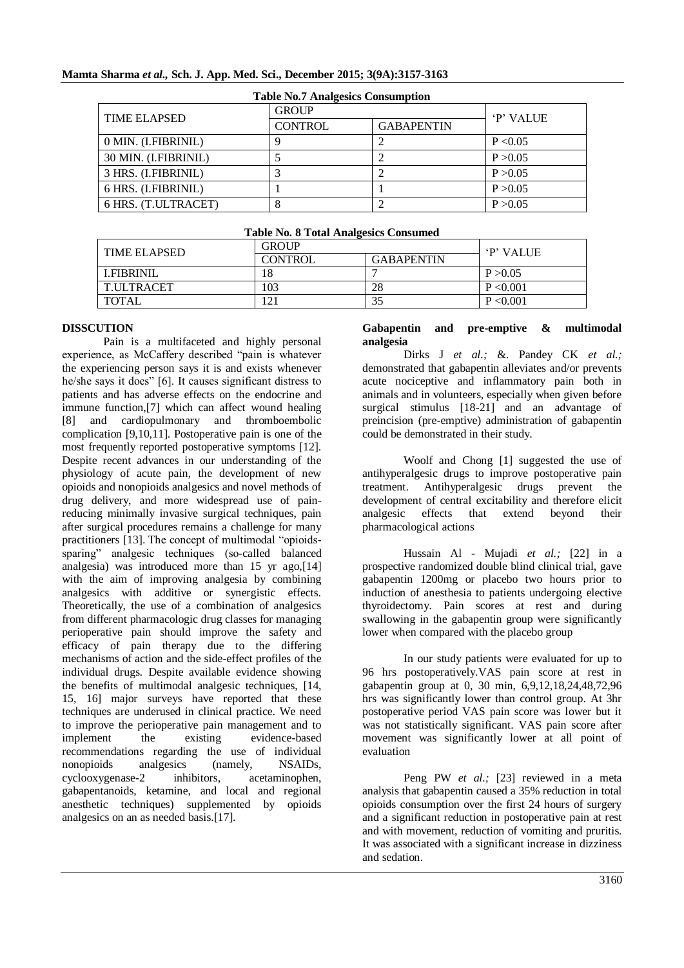| <b>Table No.7 Analgesics Consumption</b> |                |                   |          |  |  |
|------------------------------------------|----------------|-------------------|----------|--|--|
| <b>TIME ELAPSED</b>                      | <b>GROUP</b>   | <b>P' VALUE</b>   |          |  |  |
|                                          | <b>CONTROL</b> | <b>GABAPENTIN</b> |          |  |  |
| 0 MIN. (I.FIBRINIL)                      |                |                   | P < 0.05 |  |  |
| 30 MIN. (I.FIBRINIL)                     |                |                   | P > 0.05 |  |  |
| 3 HRS. (I.FIBRINIL)                      |                |                   | P > 0.05 |  |  |
| 6 HRS. (I.FIBRINIL)                      |                |                   | P > 0.05 |  |  |
| 6 HRS. (T.ULTRACET)                      |                |                   | P > 0.05 |  |  |

# **Mamta Sharma** *et al.,* **Sch. J. App. Med. Sci., December 2015; 3(9A):3157-3163**

| <b>Table No. 8 Total Analgesics Consumed</b> |  |
|----------------------------------------------|--|
| $\sim$ $\sim$ $\sim$ $\sim$                  |  |

| <b>TIME ELAPSED</b> | <b>GROUP</b>   | <b>P' VALUE</b>   |           |
|---------------------|----------------|-------------------|-----------|
|                     | <b>CONTROL</b> | <b>GABAPENTIN</b> |           |
| LEIBRINIL           | 18             |                   | P > 0.05  |
| T.ULTRACET          | .03            | 28                | P < 0.001 |
| <b>TOTAL</b>        |                |                   | P < 0.001 |

# **DISSCUTION**

Pain is a multifaceted and highly personal experience, as McCaffery described "pain is whatever the experiencing person says it is and exists whenever he/she says it does" [6]. It causes significant distress to patients and has adverse effects on the endocrine and immune function,[7] which can affect wound healing [8] and cardiopulmonary and thromboembolic complication [9,10,11]. Postoperative pain is one of the most frequently reported postoperative symptoms [12]. Despite recent advances in our understanding of the physiology of acute pain, the development of new opioids and nonopioids analgesics and novel methods of drug delivery, and more widespread use of painreducing minimally invasive surgical techniques, pain after surgical procedures remains a challenge for many practitioners [13]. The concept of multimodal "opioidssparing" analgesic techniques (so-called balanced analgesia) was introduced more than 15 yr ago,[14] with the aim of improving analgesia by combining analgesics with additive or synergistic effects. Theoretically, the use of a combination of analgesics from different pharmacologic drug classes for managing perioperative pain should improve the safety and efficacy of pain therapy due to the differing mechanisms of action and the side-effect profiles of the individual drugs. Despite available evidence showing the benefits of multimodal analgesic techniques, [14, 15, 16] major surveys have reported that these techniques are underused in clinical practice. We need to improve the perioperative pain management and to implement the existing evidence-based recommendations regarding the use of individual nonopioids analgesics (namely, NSAIDs, cyclooxygenase-2 inhibitors, acetaminophen, gabapentanoids, ketamine, and local and regional anesthetic techniques) supplemented by opioids analgesics on an as needed basis.[17].

#### **Gabapentin and pre-emptive & multimodal analgesia**

Dirks J *et al.;* &. Pandey CK *et al.;*  demonstrated that gabapentin alleviates and/or prevents acute nociceptive and inflammatory pain both in animals and in volunteers, especially when given before surgical stimulus [18-21] and an advantage of preincision (pre-emptive) administration of gabapentin could be demonstrated in their study.

Woolf and Chong [1] suggested the use of antihyperalgesic drugs to improve postoperative pain treatment. Antihyperalgesic drugs prevent the development of central excitability and therefore elicit<br>analgesic effects that extend beyond their analgesic effects that extend beyond their pharmacological actions

Hussain Al - Mujadi *et al.;* [22] in a prospective randomized double blind clinical trial, gave gabapentin 1200mg or placebo two hours prior to induction of anesthesia to patients undergoing elective thyroidectomy. Pain scores at rest and during swallowing in the gabapentin group were significantly lower when compared with the placebo group

In our study patients were evaluated for up to 96 hrs postoperatively.VAS pain score at rest in gabapentin group at 0, 30 min, 6,9,12,18,24,48,72,96 hrs was significantly lower than control group. At 3hr postoperative period VAS pain score was lower but it was not statistically significant. VAS pain score after movement was significantly lower at all point of evaluation

Peng PW *et al.;* [23] reviewed in a meta analysis that gabapentin caused a 35% reduction in total opioids consumption over the first 24 hours of surgery and a significant reduction in postoperative pain at rest and with movement, reduction of vomiting and pruritis. It was associated with a significant increase in dizziness and sedation.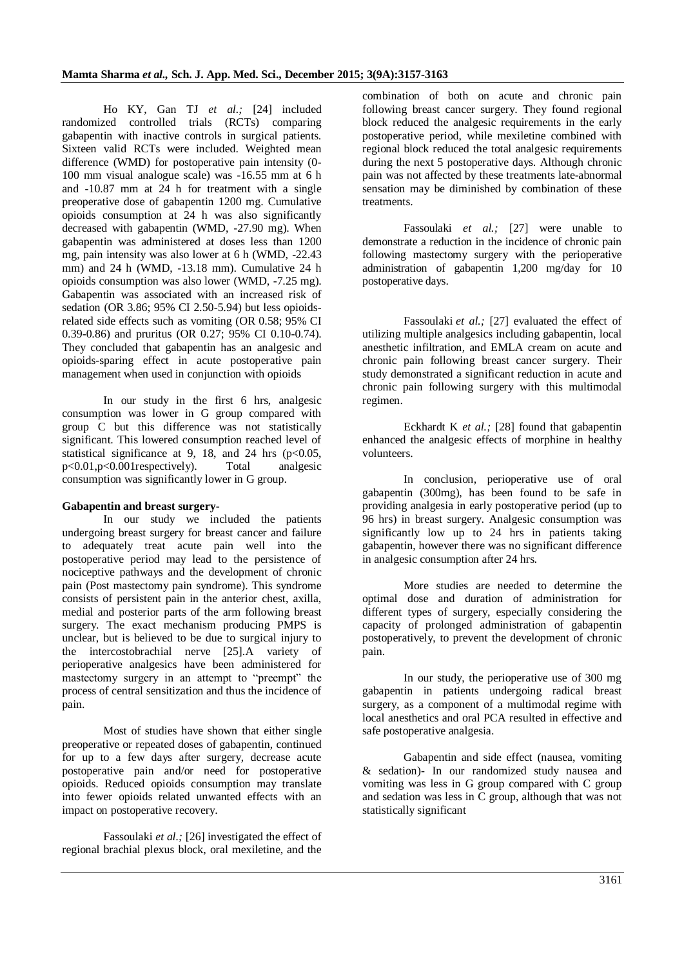Ho KY, Gan TJ *et al.;* [24] included randomized controlled trials (RCTs) comparing gabapentin with inactive controls in surgical patients. Sixteen valid RCTs were included. Weighted mean difference (WMD) for postoperative pain intensity (0- 100 mm visual analogue scale) was -16.55 mm at 6 h and -10.87 mm at 24 h for treatment with a single preoperative dose of gabapentin 1200 mg. Cumulative opioids consumption at 24 h was also significantly decreased with gabapentin (WMD, -27.90 mg). When gabapentin was administered at doses less than 1200 mg, pain intensity was also lower at 6 h (WMD, -22.43 mm) and 24 h (WMD, -13.18 mm). Cumulative 24 h opioids consumption was also lower (WMD, -7.25 mg). Gabapentin was associated with an increased risk of sedation (OR 3.86; 95% CI 2.50-5.94) but less opioidsrelated side effects such as vomiting (OR 0.58; 95% CI 0.39-0.86) and pruritus (OR 0.27; 95% CI 0.10-0.74). They concluded that gabapentin has an analgesic and opioids-sparing effect in acute postoperative pain management when used in conjunction with opioids

In our study in the first 6 hrs, analgesic consumption was lower in G group compared with group C but this difference was not statistically significant. This lowered consumption reached level of statistical significance at 9, 18, and 24 hrs  $(p<0.05$ , p<0.01,p<0.001respectively). Total analgesic consumption was significantly lower in G group.

#### **Gabapentin and breast surgery-**

In our study we included the patients undergoing breast surgery for breast cancer and failure to adequately treat acute pain well into the postoperative period may lead to the persistence of nociceptive pathways and the development of chronic pain (Post mastectomy pain syndrome). This syndrome consists of persistent pain in the anterior chest, axilla, medial and posterior parts of the arm following breast surgery. The exact mechanism producing PMPS is unclear, but is believed to be due to surgical injury to the intercostobrachial nerve [25].A variety of perioperative analgesics have been administered for mastectomy surgery in an attempt to "preempt" the process of central sensitization and thus the incidence of pain.

Most of studies have shown that either single preoperative or repeated doses of gabapentin, continued for up to a few days after surgery, decrease acute postoperative pain and/or need for postoperative opioids. Reduced opioids consumption may translate into fewer opioids related unwanted effects with an impact on postoperative recovery.

Fassoulaki *et al.;* [26] investigated the effect of regional brachial plexus block, oral mexiletine, and the combination of both on acute and chronic pain following breast cancer surgery. They found regional block reduced the analgesic requirements in the early postoperative period, while mexiletine combined with regional block reduced the total analgesic requirements during the next 5 postoperative days. Although chronic pain was not affected by these treatments late-abnormal sensation may be diminished by combination of these treatments.

Fassoulaki *et al.;* [27] were unable to demonstrate a reduction in the incidence of chronic pain following mastectomy surgery with the perioperative administration of gabapentin 1,200 mg/day for 10 postoperative days.

Fassoulaki *et al.;* [27] evaluated the effect of utilizing multiple analgesics including gabapentin, local anesthetic infiltration, and EMLA cream on acute and chronic pain following breast cancer surgery. Their study demonstrated a significant reduction in acute and chronic pain following surgery with this multimodal regimen.

Eckhardt K *et al.;* [28] found that gabapentin enhanced the analgesic effects of morphine in healthy volunteers.

In conclusion, perioperative use of oral gabapentin (300mg), has been found to be safe in providing analgesia in early postoperative period (up to 96 hrs) in breast surgery. Analgesic consumption was significantly low up to 24 hrs in patients taking gabapentin, however there was no significant difference in analgesic consumption after 24 hrs.

More studies are needed to determine the optimal dose and duration of administration for different types of surgery, especially considering the capacity of prolonged administration of gabapentin postoperatively, to prevent the development of chronic pain.

In our study, the perioperative use of 300 mg gabapentin in patients undergoing radical breast surgery, as a component of a multimodal regime with local anesthetics and oral PCA resulted in effective and safe postoperative analgesia.

Gabapentin and side effect (nausea, vomiting & sedation)- In our randomized study nausea and vomiting was less in G group compared with C group and sedation was less in C group, although that was not statistically significant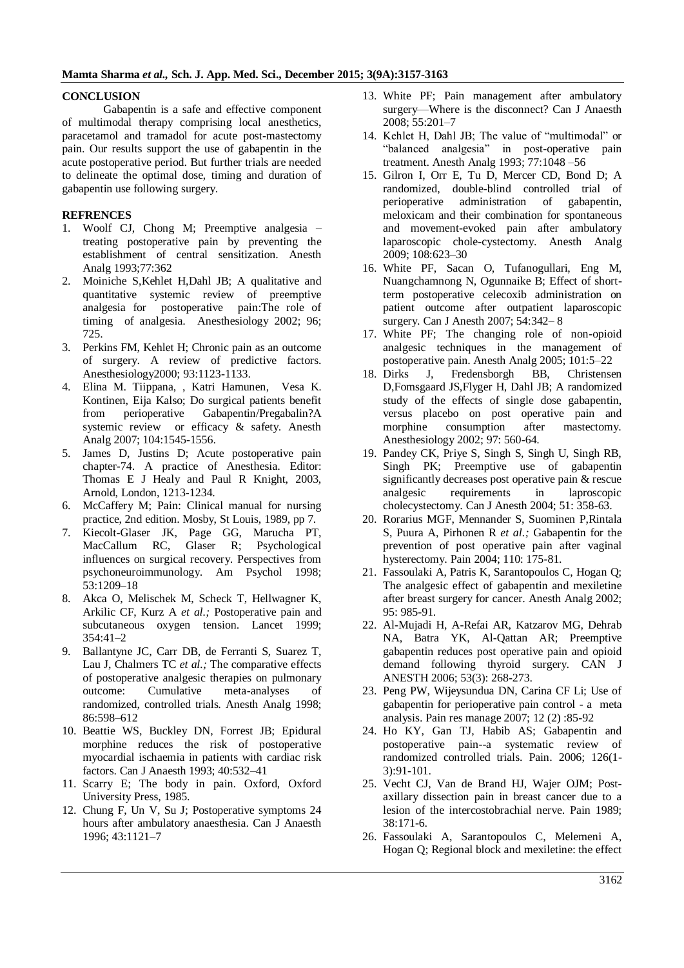#### **CONCLUSION**

Gabapentin is a safe and effective component of multimodal therapy comprising local anesthetics, paracetamol and tramadol for acute post-mastectomy pain. Our results support the use of gabapentin in the acute postoperative period. But further trials are needed to delineate the optimal dose, timing and duration of gabapentin use following surgery.

#### **REFRENCES**

- 1. Woolf CJ, Chong M; Preemptive analgesia treating postoperative pain by preventing the establishment of central sensitization. Anesth Analg 1993;77:362
- 2. Moiniche S,Kehlet H,Dahl JB; A qualitative and quantitative systemic review of preemptive analgesia for postoperative pain:The role of timing of analgesia. Anesthesiology 2002; 96; 725.
- 3. Perkins FM, Kehlet H; Chronic pain as an outcome of surgery. A review of predictive factors. Anesthesiology2000; 93:1123-1133.
- 4. Elina M. Tiippana, , Katri Hamunen, Vesa K. Kontinen, Eija Kalso; Do surgical patients benefit from perioperative Gabapentin/Pregabalin?A systemic review or efficacy & safety. Anesth Analg 2007; 104:1545-1556.
- 5. James D, Justins D; Acute postoperative pain chapter-74. A practice of Anesthesia. Editor: Thomas E J Healy and Paul R Knight, 2003, Arnold, London, 1213-1234.
- 6. McCaffery M; Pain: Clinical manual for nursing practice, 2nd edition. Mosby, St Louis, 1989, pp 7.
- 7. Kiecolt-Glaser JK, Page GG, Marucha PT, MacCallum RC, Glaser R; Psychological influences on surgical recovery. Perspectives from psychoneuroimmunology. Am Psychol 1998; 53:1209–18
- 8. Akca O, Melischek M, Scheck T, Hellwagner K, Arkilic CF, Kurz A *et al.;* Postoperative pain and subcutaneous oxygen tension. Lancet 1999; 354:41–2
- 9. Ballantyne JC, Carr DB, de Ferranti S, Suarez T, Lau J, Chalmers TC *et al.;* The comparative effects of postoperative analgesic therapies on pulmonary outcome: Cumulative meta-analyses of randomized, controlled trials. Anesth Analg 1998; 86:598–612
- 10. Beattie WS, Buckley DN, Forrest JB; Epidural morphine reduces the risk of postoperative myocardial ischaemia in patients with cardiac risk factors. Can J Anaesth 1993; 40:532–41
- 11. Scarry E; The body in pain. Oxford, Oxford University Press, 1985.
- 12. Chung F, Un V, Su J; Postoperative symptoms 24 hours after ambulatory anaesthesia. Can J Anaesth 1996; 43:1121–7
- 13. White PF; Pain management after ambulatory surgery—Where is the disconnect? Can J Anaesth 2008; 55:201–7
- 14. Kehlet H, Dahl JB: The value of "multimodal" or "balanced analgesia" in post-operative pain treatment. Anesth Analg 1993; 77:1048 –56
- 15. Gilron I, Orr E, Tu D, Mercer CD, Bond D; A randomized, double-blind controlled trial of perioperative administration of gabapentin, meloxicam and their combination for spontaneous and movement-evoked pain after ambulatory laparoscopic chole-cystectomy. Anesth Analg 2009; 108:623–30
- 16. White PF, Sacan O, Tufanogullari, Eng M, Nuangchamnong N, Ogunnaike B; Effect of shortterm postoperative celecoxib administration on patient outcome after outpatient laparoscopic surgery. Can J Anesth 2007; 54:342– 8
- 17. White PF; The changing role of non-opioid analgesic techniques in the management of postoperative pain. Anesth Analg 2005; 101:5–22
- 18. Dirks J, Fredensborgh BB, Christensen D,Fomsgaard JS,Flyger H, Dahl JB; A randomized study of the effects of single dose gabapentin, versus placebo on post operative pain and morphine consumption after mastectomy. Anesthesiology 2002; 97: 560-64.
- 19. Pandey CK, Priye S, Singh S, Singh U, Singh RB, Singh PK; Preemptive use of gabapentin significantly decreases post operative pain & rescue analgesic requirements in laproscopic cholecystectomy. Can J Anesth 2004; 51: 358-63.
- 20. Rorarius MGF, Mennander S, Suominen P,Rintala S, Puura A, Pirhonen R *et al.;* Gabapentin for the prevention of post operative pain after vaginal hysterectomy. Pain 2004; 110: 175-81.
- 21. Fassoulaki A, Patris K, Sarantopoulos C, Hogan Q; The analgesic effect of gabapentin and mexiletine after breast surgery for cancer. Anesth Analg 2002; 95: 985-91.
- 22. Al-Mujadi H, A-Refai AR, Katzarov MG, Dehrab NA, Batra YK, Al-Qattan AR; Preemptive gabapentin reduces post operative pain and opioid demand following thyroid surgery. CAN J ANESTH 2006; 53(3): 268-273.
- 23. Peng PW, Wijeysundua DN, Carina CF Li; Use of gabapentin for perioperative pain control - a meta analysis. Pain res manage 2007; 12 (2) :85-92
- 24. Ho KY, Gan TJ, Habib AS; Gabapentin and postoperative pain--a systematic review of randomized controlled trials. Pain. 2006; 126(1- 3):91-101.
- 25. Vecht CJ, Van de Brand HJ, Wajer OJM; Postaxillary dissection pain in breast cancer due to a lesion of the intercostobrachial nerve. Pain 1989; 38:171-6.
- 26. Fassoulaki A, Sarantopoulos C, Melemeni A, Hogan Q; Regional block and mexiletine: the effect